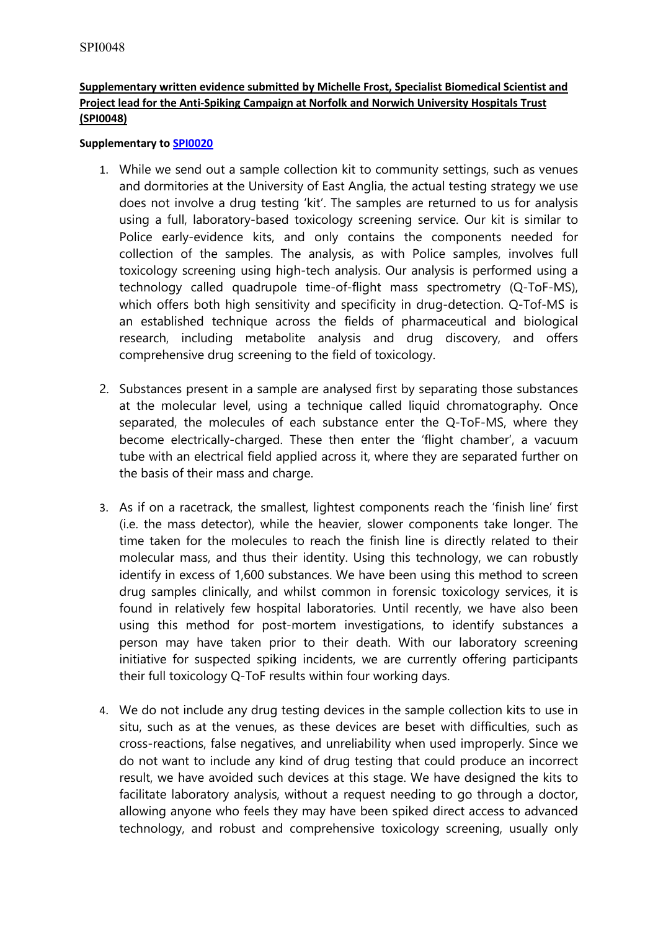## **Supplementary written evidence submitted by Michelle Frost, Specialist Biomedical Scientist and Project lead for the Anti-Spiking Campaign at Norfolk and Norwich University Hospitals Trust (SPI0048)**

## **Supplementary to [SPI0020](https://committees.parliament.uk/writtenevidence/42639/pdf/)**

- 1. While we send out a sample collection kit to community settings, such as venues and dormitories at the University of East Anglia, the actual testing strategy we use does not involve a drug testing 'kit'. The samples are returned to us for analysis using a full, laboratory-based toxicology screening service. Our kit is similar to Police early-evidence kits, and only contains the components needed for collection of the samples. The analysis, as with Police samples, involves full toxicology screening using high-tech analysis. Our analysis is performed using a technology called quadrupole time-of-flight mass spectrometry (Q-ToF-MS), which offers both high sensitivity and specificity in drug-detection. Q-Tof-MS is an established technique across the fields of pharmaceutical and biological research, including metabolite analysis and drug discovery, and offers comprehensive drug screening to the field of toxicology.
- 2. Substances present in a sample are analysed first by separating those substances at the molecular level, using a technique called liquid chromatography. Once separated, the molecules of each substance enter the Q-ToF-MS, where they become electrically-charged. These then enter the 'flight chamber', a vacuum tube with an electrical field applied across it, where they are separated further on the basis of their mass and charge.
- 3. As if on a racetrack, the smallest, lightest components reach the 'finish line' first (i.e. the mass detector), while the heavier, slower components take longer. The time taken for the molecules to reach the finish line is directly related to their molecular mass, and thus their identity. Using this technology, we can robustly identify in excess of 1,600 substances. We have been using this method to screen drug samples clinically, and whilst common in forensic toxicology services, it is found in relatively few hospital laboratories. Until recently, we have also been using this method for post-mortem investigations, to identify substances a person may have taken prior to their death. With our laboratory screening initiative for suspected spiking incidents, we are currently offering participants their full toxicology Q-ToF results within four working days.
- 4. We do not include any drug testing devices in the sample collection kits to use in situ, such as at the venues, as these devices are beset with difficulties, such as cross-reactions, false negatives, and unreliability when used improperly. Since we do not want to include any kind of drug testing that could produce an incorrect result, we have avoided such devices at this stage. We have designed the kits to facilitate laboratory analysis, without a request needing to go through a doctor, allowing anyone who feels they may have been spiked direct access to advanced technology, and robust and comprehensive toxicology screening, usually only